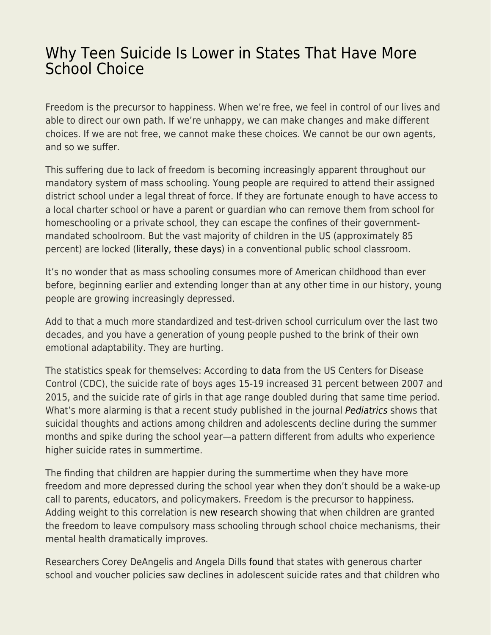## [Why Teen Suicide Is Lower in States That Have More](https://everything-voluntary.com/why-teen-suicide-is-lower-in-states-that-have-more-school-choice) [School Choice](https://everything-voluntary.com/why-teen-suicide-is-lower-in-states-that-have-more-school-choice)

Freedom is the precursor to happiness. When we're free, we feel in control of our lives and able to direct our own path. If we're unhappy, we can make changes and make different choices. If we are not free, we cannot make these choices. We cannot be our own agents, and so we suffer.

This suffering due to lack of freedom is becoming increasingly apparent throughout our mandatory system of mass schooling. Young people are required to attend their assigned district school under a legal threat of force. If they are fortunate enough to have access to a local charter school or have a parent or guardian who can remove them from school for homeschooling or a private school, they can escape the confines of their governmentmandated schoolroom. But the vast majority of children in the US (approximately 85 percent) are locked [\(literally, these days](https://www.seattletimes.com/nation-world/locking-classrooms-becomes-latest-safety-measure-for-spokane-schools/)) in a conventional public school classroom.

It's no wonder that as mass schooling consumes more of American childhood than ever before, beginning earlier and extending longer than at any other time in our history, young people are growing increasingly depressed.

Add to that a much more standardized and test-driven school curriculum over the last two decades, and you have a generation of young people pushed to the brink of their own emotional adaptability. They are hurting.

The statistics speak for themselves: According to [data](https://www.cdc.gov/mmwr/volumes/66/wr/mm6630a6.htm) from the US Centers for Disease Control (CDC), the suicide rate of boys ages 15-19 increased 31 percent between 2007 and 2015, and the suicide rate of girls in that age range doubled during that same time period. What's more alarming is that a recent study published in the journal [Pediatrics](http://pediatrics.aappublications.org/content/141/6/e20172426?sso=1&sso_redirect_count=1&nfstatus=401&nftoken=00000000-0000-0000-0000-000000000000&nfstatusdescription=ERROR%3A+No+local+token) shows that suicidal thoughts and actions among children and adolescents decline during the summer months and spike during the school year—a pattern different from adults who experience higher suicide rates in summertime.

The finding that children are happier during the summertime when they have more freedom and more depressed during the school year when they don't should be a wake-up call to parents, educators, and policymakers. Freedom is the precursor to happiness. Adding weight to this correlation is [new research](https://papers.ssrn.com/sol3/papers.cfm?abstract_id=3272550) showing that when children are granted the freedom to leave compulsory mass schooling through school choice mechanisms, their mental health dramatically improves.

Researchers Corey DeAngelis and Angela Dills [found](https://papers.ssrn.com/sol3/papers.cfm?abstract_id=3272550) that states with generous charter school and voucher policies saw declines in adolescent suicide rates and that children who